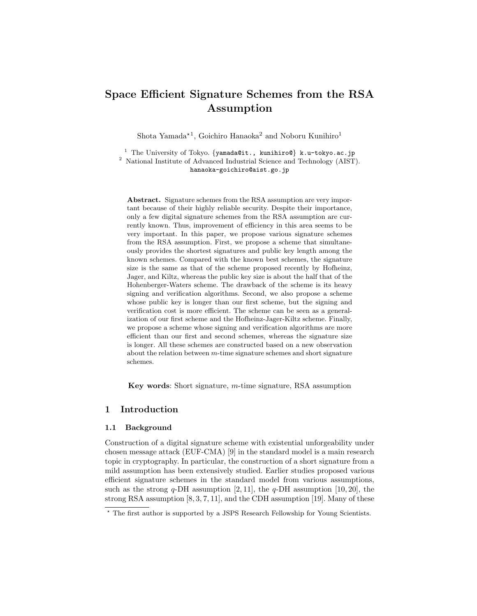# Space Efficient Signature Schemes from the RSA Assumption

Shota Yamada<sup>\*1</sup>, Goichiro Hanaoka<sup>2</sup> and Noboru Kunihiro<sup>1</sup>

<sup>1</sup> The University of Tokyo. {yamada@it., kunihiro@} k.u-tokyo.ac.jp <sup>2</sup> National Institute of Advanced Industrial Science and Technology (AIST). hanaoka-goichiro@aist.go.jp

Abstract. Signature schemes from the RSA assumption are very important because of their highly reliable security. Despite their importance, only a few digital signature schemes from the RSA assumption are currently known. Thus, improvement of efficiency in this area seems to be very important. In this paper, we propose various signature schemes from the RSA assumption. First, we propose a scheme that simultaneously provides the shortest signatures and public key length among the known schemes. Compared with the known best schemes, the signature size is the same as that of the scheme proposed recently by Hofheinz, Jager, and Kiltz, whereas the public key size is about the half that of the Hohenberger-Waters scheme. The drawback of the scheme is its heavy signing and verification algorithms. Second, we also propose a scheme whose public key is longer than our first scheme, but the signing and verification cost is more efficient. The scheme can be seen as a generalization of our first scheme and the Hofheinz-Jager-Kiltz scheme. Finally, we propose a scheme whose signing and verification algorithms are more efficient than our first and second schemes, whereas the signature size is longer. All these schemes are constructed based on a new observation about the relation between  $m$ -time signature schemes and short signature schemes.

Key words: Short signature, m-time signature, RSA assumption

## 1 Introduction

### 1.1 Background

Construction of a digital signature scheme with existential unforgeability under chosen message attack (EUF-CMA) [9] in the standard model is a main research topic in cryptography. In particular, the construction of a short signature from a mild assumption has been extensively studied. Earlier studies proposed various efficient signature schemes in the standard model from various assumptions, such as the strong  $q$ -DH assumption [2, 11], the  $q$ -DH assumption [10, 20], the strong RSA assumption  $[8, 3, 7, 11]$ , and the CDH assumption [19]. Many of these

<sup>?</sup> The first author is supported by a JSPS Research Fellowship for Young Scientists.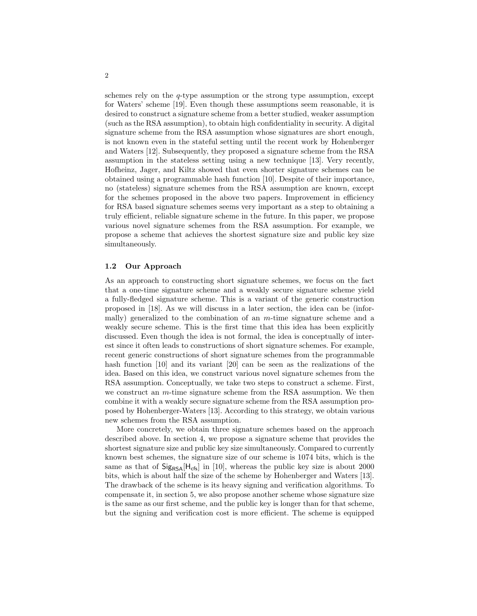schemes rely on the q-type assumption or the strong type assumption, except for Waters' scheme [19]. Even though these assumptions seem reasonable, it is desired to construct a signature scheme from a better studied, weaker assumption (such as the RSA assumption), to obtain high confidentiality in security. A digital signature scheme from the RSA assumption whose signatures are short enough, is not known even in the stateful setting until the recent work by Hohenberger and Waters [12]. Subsequently, they proposed a signature scheme from the RSA assumption in the stateless setting using a new technique [13]. Very recently, Hofheinz, Jager, and Kiltz showed that even shorter signature schemes can be obtained using a programmable hash function [10]. Despite of their importance, no (stateless) signature schemes from the RSA assumption are known, except for the schemes proposed in the above two papers. Improvement in efficiency for RSA based signature schemes seems very important as a step to obtaining a truly efficient, reliable signature scheme in the future. In this paper, we propose various novel signature schemes from the RSA assumption. For example, we propose a scheme that achieves the shortest signature size and public key size simultaneously.

#### 1.2 Our Approach

As an approach to constructing short signature schemes, we focus on the fact that a one-time signature scheme and a weakly secure signature scheme yield a fully-fledged signature scheme. This is a variant of the generic construction proposed in [18]. As we will discuss in a later section, the idea can be (informally) generalized to the combination of an  $m$ -time signature scheme and a weakly secure scheme. This is the first time that this idea has been explicitly discussed. Even though the idea is not formal, the idea is conceptually of interest since it often leads to constructions of short signature schemes. For example, recent generic constructions of short signature schemes from the programmable hash function [10] and its variant [20] can be seen as the realizations of the idea. Based on this idea, we construct various novel signature schemes from the RSA assumption. Conceptually, we take two steps to construct a scheme. First, we construct an  $m$ -time signature scheme from the RSA assumption. We then combine it with a weakly secure signature scheme from the RSA assumption proposed by Hohenberger-Waters [13]. According to this strategy, we obtain various new schemes from the RSA assumption.

More concretely, we obtain three signature schemes based on the approach described above. In section 4, we propose a signature scheme that provides the shortest signature size and public key size simultaneously. Compared to currently known best schemes, the signature size of our scheme is 1074 bits, which is the same as that of  $\text{Sig}_{\text{RSA}}[H_{\text{cfg}}]$  in [10], whereas the public key size is about 2000 bits, which is about half the size of the scheme by Hohenberger and Waters [13]. The drawback of the scheme is its heavy signing and verification algorithms. To compensate it, in section 5, we also propose another scheme whose signature size is the same as our first scheme, and the public key is longer than for that scheme, but the signing and verification cost is more efficient. The scheme is equipped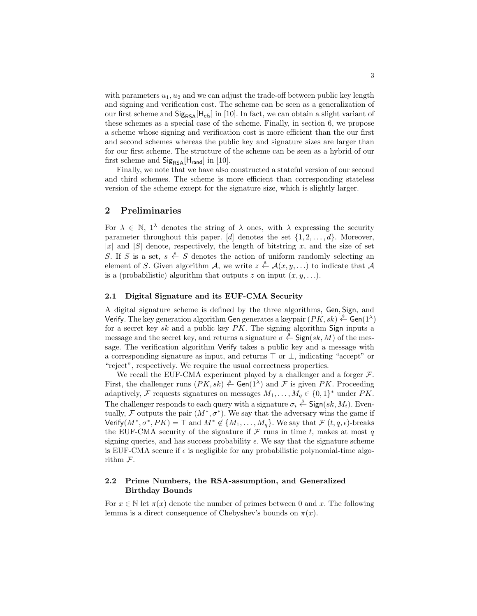with parameters  $u_1, u_2$  and we can adjust the trade-off between public key length and signing and verification cost. The scheme can be seen as a generalization of our first scheme and  $\text{Sig}_{\text{RSA}}[H_{\text{cfs}}]$  in [10]. In fact, we can obtain a slight variant of these schemes as a special case of the scheme. Finally, in section 6, we propose a scheme whose signing and verification cost is more efficient than the our first and second schemes whereas the public key and signature sizes are larger than for our first scheme. The structure of the scheme can be seen as a hybrid of our first scheme and  $\text{Sig}_{\text{RSA}}[H_{\text{rand}}]$  in [10].

Finally, we note that we have also constructed a stateful version of our second and third schemes. The scheme is more efficient than corresponding stateless version of the scheme except for the signature size, which is slightly larger.

# 2 Preliminaries

For  $\lambda \in \mathbb{N}$ ,  $1^{\lambda}$  denotes the string of  $\lambda$  ones, with  $\lambda$  expressing the security parameter throughout this paper. [d] denotes the set  $\{1, 2, \ldots, d\}$ . Moreover, |x| and |S| denote, respectively, the length of bitstring x, and the size of set S. If S is a set,  $s \stackrel{\$}{\leftarrow} S$  denotes the action of uniform randomly selecting an element of S. Given algorithm A, we write  $z \stackrel{s}{\leftarrow} \mathcal{A}(x, y, \ldots)$  to indicate that A is a (probabilistic) algorithm that outputs z on input  $(x, y, \ldots)$ .

#### 2.1 Digital Signature and its EUF-CMA Security

A digital signature scheme is defined by the three algorithms, Gen, Sign, and Verify. The key generation algorithm Gen generates a keypair  $(PK, sk) \stackrel{\text{d}}{\leftarrow}$  Gen $(1^{\lambda})$ for a secret key sk and a public key  $PK$ . The signing algorithm Sign inputs a message and the secret key, and returns a signature  $\sigma \stackrel{\hspace{0.1em}\mathsf{\scriptscriptstyle\$}}{\leftarrow}$  Sign $(\mathit{sk}, M)$  of the message. The verification algorithm Verify takes a public key and a message with a corresponding signature as input, and returns  $\top$  or  $\bot$ , indicating "accept" or "reject", respectively. We require the usual correctness properties.

We recall the EUF-CMA experiment played by a challenger and a forger  $\mathcal{F}$ . First, the challenger runs  $(PK, sk) \stackrel{\text{d}}{\leftarrow} \mathsf{Gen}(1^{\lambda})$  and F is given PK. Proceeding adaptively, F requests signatures on messages  $M_1, \ldots, M_q \in \{0,1\}^*$  under PK. The challenger responds to each query with a signature  $\sigma_i \stackrel{\$}{\leftarrow}$  Sign $(sk, M_i)$ . Eventually, F outputs the pair  $(M^*, \sigma^*)$ . We say that the adversary wins the game if Verify $(M^*, \sigma^*, PK) = \top$  and  $M^* \notin \{M_1, \ldots, M_q\}$ . We say that  $\mathcal{F}(t, q, \epsilon)$ -breaks the EUF-CMA security of the signature if  $\mathcal F$  runs in time t, makes at most q signing queries, and has success probability  $\epsilon$ . We say that the signature scheme is EUF-CMA secure if  $\epsilon$  is negligible for any probabilistic polynomial-time algorithm F.

## 2.2 Prime Numbers, the RSA-assumption, and Generalized Birthday Bounds

For  $x \in \mathbb{N}$  let  $\pi(x)$  denote the number of primes between 0 and x. The following lemma is a direct consequence of Chebyshev's bounds on  $\pi(x)$ .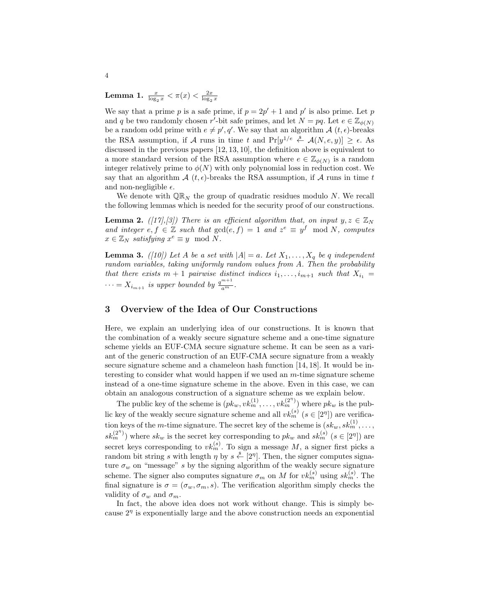Lemma 1.  $\frac{x}{\log_2 x} < \pi(x) < \frac{2x}{\log_2 x}$ 

We say that a prime p is a safe prime, if  $p = 2p' + 1$  and p' is also prime. Let p and q be two randomly chosen r'-bit safe primes, and let  $N = pq$ . Let  $e \in \mathbb{Z}_{\phi(N)}$ be a random odd prime with  $e \neq p', q'$ . We say that an algorithm  $\mathcal{A}(t, \epsilon)$ -breaks the RSA assumption, if A runs in time t and  $Pr[y^{1/e} \stackrel{\$}{\leftarrow} A(N, e, y)] \geq \epsilon$ . As discussed in the previous papers [12, 13, 10], the definition above is equivalent to a more standard version of the RSA assumption where  $e \in \mathbb{Z}_{\phi(N)}$  is a random integer relatively prime to  $\phi(N)$  with only polynomial loss in reduction cost. We say that an algorithm  $\mathcal{A}(t, \epsilon)$ -breaks the RSA assumption, if  $\mathcal{A}$  runs in time t and non-negligible  $\epsilon$ .

We denote with  $\mathbb{QR}_N$  the group of quadratic residues modulo N. We recall the following lemmas which is needed for the security proof of our constructions.

**Lemma 2.** ([17],[3]) There is an efficient algorithm that, on input  $y, z \in \mathbb{Z}_N$ and integer  $e, f \in \mathbb{Z}$  such that  $gcd(e, f) = 1$  and  $z^e \equiv y^f \mod N$ , computes  $x \in \mathbb{Z}_N$  satisfying  $x^e \equiv y \mod N$ .

**Lemma 3.** ([10]) Let A be a set with  $|A| = a$ . Let  $X_1, \ldots, X_q$  be q independent random variables, taking uniformly random values from A. Then the probability that there exists  $m + 1$  pairwise distinct indices  $i_1, \ldots, i_{m+1}$  such that  $X_{i_1} =$  $\cdots = X_{i_{m+1}}$  is upper bounded by  $\frac{q^{m+1}}{a^m}$ .

# 3 Overview of the Idea of Our Constructions

Here, we explain an underlying idea of our constructions. It is known that the combination of a weakly secure signature scheme and a one-time signature scheme yields an EUF-CMA secure signature scheme. It can be seen as a variant of the generic construction of an EUF-CMA secure signature from a weakly secure signature scheme and a chameleon hash function [14, 18]. It would be interesting to consider what would happen if we used an  $m$ -time signature scheme instead of a one-time signature scheme in the above. Even in this case, we can obtain an analogous construction of a signature scheme as we explain below.

The public key of the scheme is  $(pk_w, vk_m^{(1)}, \ldots, vk_m^{(2^n)})$  where  $pk_w$  is the public key of the weakly secure signature scheme and all  $vk_m^{(s)}$   $(s \in [2^n])$  are verification keys of the *m*-time signature. The secret key of the scheme is  $(s k_w, s k_m^{(1)}, \ldots,$  $sk_m^{(2^n)}$  where  $sk_w$  is the secret key corresponding to  $pk_w$  and  $sk_m^{(s)}$   $(s \in [2^n])$  are secret keys corresponding to  $vk_m^{(s)}$ . To sign a message M, a signer first picks a random bit string s with length  $\eta$  by  $s \stackrel{\$}{\leftarrow} [2^{\eta}]$ . Then, the signer computes signature  $\sigma_w$  on "message" s by the signing algorithm of the weakly secure signature scheme. The signer also computes signature  $\sigma_m$  on M for  $vk_m^{(s)}$  using  $sk_m^{(s)}$ . The final signature is  $\sigma = (\sigma_w, \sigma_m, s)$ . The verification algorithm simply checks the validity of  $\sigma_w$  and  $\sigma_m$ .

In fact, the above idea does not work without change. This is simply because  $2<sup>\eta</sup>$  is exponentially large and the above construction needs an exponential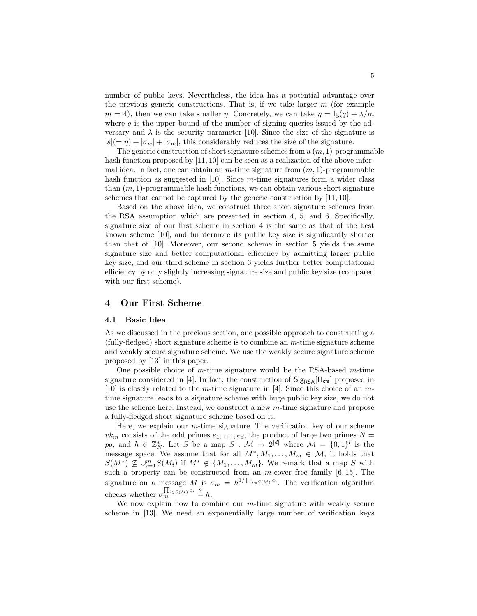number of public keys. Nevertheless, the idea has a potential advantage over the previous generic constructions. That is, if we take larger  $m$  (for example  $m = 4$ ), then we can take smaller  $\eta$ . Concretely, we can take  $\eta = \lg(q) + \lambda/m$ where  $q$  is the upper bound of the number of signing queries issued by the adversary and  $\lambda$  is the security parameter [10]. Since the size of the signature is  $|s| = \eta + |\sigma_w| + |\sigma_m|$ , this considerably reduces the size of the signature.

The generic construction of short signature schemes from a  $(m, 1)$ -programmable hash function proposed by  $[11, 10]$  can be seen as a realization of the above informal idea. In fact, one can obtain an  $m$ -time signature from  $(m, 1)$ -programmable hash function as suggested in  $[10]$ . Since m-time signatures form a wider class than  $(m, 1)$ -programmable hash functions, we can obtain various short signature schemes that cannot be captured by the generic construction by [11, 10].

Based on the above idea, we construct three short signature schemes from the RSA assumption which are presented in section 4, 5, and 6. Specifically, signature size of our first scheme in section 4 is the same as that of the best known scheme [10], and furhtermore its public key size is significantly shorter than that of [10]. Moreover, our second scheme in section 5 yields the same signature size and better computational efficiency by admitting larger public key size, and our third scheme in section 6 yields further better computational efficiency by only slightly increasing signature size and public key size (compared with our first scheme).

### 4 Our First Scheme

#### 4.1 Basic Idea

As we discussed in the precious section, one possible approach to constructing a  $(Hully-fledged)$  short signature scheme is to combine an  $m$ -time signature scheme and weakly secure signature scheme. We use the weakly secure signature scheme proposed by [13] in this paper.

One possible choice of  $m$ -time signature would be the RSA-based  $m$ -time signature considered in [4]. In fact, the construction of  $\text{Sig}_{\text{RSA}}[H_{\text{cts}}]$  proposed in [10] is closely related to the m-time signature in [4]. Since this choice of an  $m$ time signature leads to a signature scheme with huge public key size, we do not use the scheme here. Instead, we construct a new m-time signature and propose a fully-fledged short signature scheme based on it.

Here, we explain our  $m$ -time signature. The verification key of our scheme  $vk_m$  consists of the odd primes  $e_1, \ldots, e_d$ , the product of large two primes  $N =$ pq, and  $h \in \mathbb{Z}_N^*$ . Let S be a map  $S : \mathcal{M} \to 2^{[d]}$  where  $\mathcal{M} = \{0,1\}^l$  is the message space. We assume that for all  $M^*, M_1, \ldots, M_m \in \mathcal{M}$ , it holds that  $S(M^*)\nsubseteq \cup_{i=1}^m S(M_i)$  if  $M^*\notin \{M_1,\ldots,M_m\}$ . We remark that a map S with such a property can be constructed from an  $m$ -cover free family [6, 15]. The signature on a message M is  $\sigma_m = h^{1/\prod_{i \in S(M)} e_i}$ . The verification algorithm checks whether  $\sigma_m^{\prod_{i \in S(M)} e_i} \stackrel{?}{=} h.$ 

We now explain how to combine our  $m$ -time signature with weakly secure scheme in [13]. We need an exponentially large number of verification keys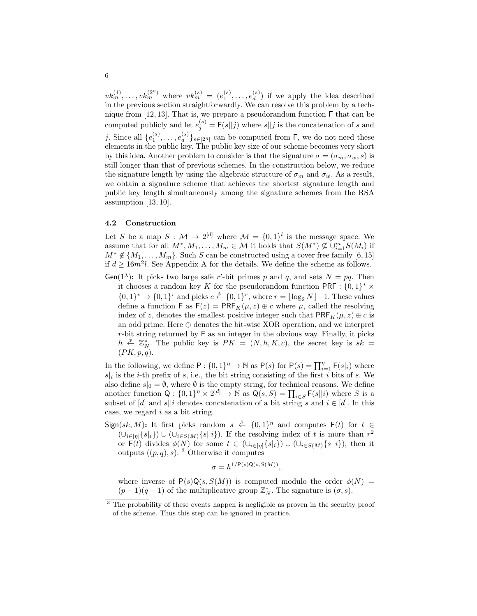$vk_m^{(1)}, \ldots, vk_m^{(2^n)}$  where  $vk_m^{(s)} = (e_1^{(s)}, \ldots, e_d^{(s)})$  $\binom{s}{d}$  if we apply the idea described in the previous section straightforwardly. We can resolve this problem by a technique from [12, 13]. That is, we prepare a pseudorandom function F that can be computed publicly and let  $e_j^{(s)} = \mathsf{F}(s||j)$  where  $s||j$  is the concatenation of s and j. Since all  $\{e_1^{(s)}, \ldots, e_d^{(s)}\}$  $\binom{s}{d}$ <sub>s∈[2</sub><sub>η</sub>] can be computed from **F**, we do not need these elements in the public key. The public key size of our scheme becomes very short by this idea. Another problem to consider is that the signature  $\sigma = (\sigma_m, \sigma_w, s)$  is still longer than that of previous schemes. In the construction below, we reduce the signature length by using the algebraic structure of  $\sigma_m$  and  $\sigma_w$ . As a result, we obtain a signature scheme that achieves the shortest signature length and public key length simultaneously among the signature schemes from the RSA assumption [13, 10].

#### 4.2 Construction

Let S be a map  $S : \mathcal{M} \to 2^{[d]}$  where  $\mathcal{M} = \{0,1\}^l$  is the message space. We assume that for all  $M^*, M_1, \ldots, M_m \in \mathcal{M}$  it holds that  $S(M^*) \nsubseteq \bigcup_{i=1}^m S(M_i)$  if  $M^* \notin \{M_1, \ldots, M_m\}$ . Such S can be constructed using a cover free family [6, 15] if  $d \geq 16m^2l$ . See Appendix A for the details. We define the scheme as follows.

Gen(1<sup> $\lambda$ </sup>): It picks two large safe r'-bit primes p and q, and sets  $N = pq$ . Then it chooses a random key K for the pseudorandom function PRF :  $\{0,1\}^*$  ×  $\{0,1\}^* \to \{0,1\}^r$  and picks  $c \stackrel{\$}{\leftarrow} \{0,1\}^r$ , where  $r = \lfloor \log_2 N \rfloor - 1$ . These values define a function F as  $F(z) = PRF<sub>K</sub>(\mu, z) \oplus c$  where  $\mu$ , called the resolving index of z, denotes the smallest positive integer such that  $\mathsf{PRF}_K(\mu, z) \oplus c$  is an odd prime. Here ⊕ denotes the bit-wise XOR operation, and we interpret r-bit string returned by  $F$  as an integer in the obvious way. Finally, it picks  $h \stackrel{s}{\leftarrow} \mathbb{Z}_N^*$ . The public key is  $PK = (N, h, K, c)$ , the secret key is  $sk =$  $(PK, p, q)$ .

In the following, we define  $P: \{0,1\}^{\eta} \to \mathbb{N}$  as  $P(s)$  for  $P(s) = \prod_{i=1}^{\eta} F(s_i)$  where  $s|_i$  is the *i*-th prefix of *s*, i.e., the bit string consisting of the first *i* bits of *s*. We also define  $s|_0 = \emptyset$ , where  $\emptyset$  is the empty string, for technical reasons. We define another function  $Q: \{0,1\}^{\eta} \times 2^{[d]} \to \mathbb{N}$  as  $Q(s, S) = \prod_{i \in S} \mathsf{F}(s||i)$  where S is a subset of [d] and s||i denotes concatenation of a bit string s and  $i \in [d]$ . In this case, we regard i as a bit string.

Sign(sk, M): It first picks random  $s \stackrel{\$}{\leftarrow} \{0,1\}^{\eta}$  and computes  $F(t)$  for  $t \in$  $(\cup_{i\in[\eta]}\{s|_i\})\cup(\cup_{i\in S(M)}\{s||i\}).$  If the resolving index of t is more than  $r^2$ or  $F(t)$  divides  $\phi(N)$  for some  $t \in (\cup_{i\in[\eta]}\{s|_i\}) \cup (\cup_{i\in S(M)}\{s||i\}),$  then it outputs  $((p, q), s)$ . 3 Otherwise it computes

$$
\sigma = h^{1/\mathsf{P}(s)\mathsf{Q}(s,S(M))},
$$

where inverse of  $P(s)Q(s, S(M))$  is computed modulo the order  $\phi(N)$  =  $(p-1)(q-1)$  of the multiplicative group  $\mathbb{Z}_N^*$ . The signature is  $(\sigma, s)$ .

<sup>&</sup>lt;sup>3</sup> The probability of these events happen is negligible as proven in the security proof of the scheme. Thus this step can be ignored in practice.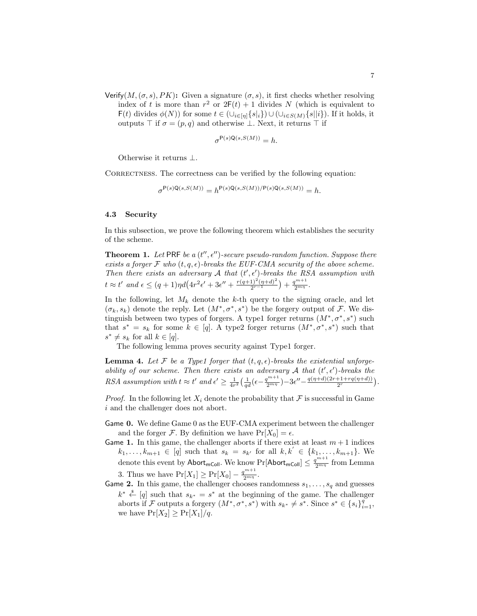Verify(M,  $(\sigma, s)$ , PK): Given a signature  $(\sigma, s)$ , it first checks whether resolving index of t is more than  $r^2$  or  $2F(t) + 1$  divides N (which is equivalent to  $\mathsf{F}(t)$  divides  $\phi(N)$  for some  $t \in (\cup_{i \in [\eta]} \{s|_i\}) \cup (\cup_{i \in S(M)} \{s|_i\})$ . If it holds, it outputs  $\top$  if  $\sigma = (p, q)$  and otherwise  $\bot$ . Next, it returns  $\top$  if

$$
\sigma^{\mathsf{P}(s)\mathsf{Q}(s,S(M))} = h.
$$

Otherwise it returns ⊥.

CORRECTNESS. The correctness can be verified by the following equation:

$$
\sigma^{\mathsf{P}(s)\mathsf{Q}(s,S(M))} = h^{\mathsf{P}(s)\mathsf{Q}(s,S(M))/\mathsf{P}(s)\mathsf{Q}(s,S(M))} = h.
$$

#### 4.3 Security

In this subsection, we prove the following theorem which establishes the security of the scheme.

**Theorem 1.** Let PRF be a  $(t'', \epsilon'')$ -secure pseudo-random function. Suppose there exists a forger  $\mathcal F$  who  $(t, q, \epsilon)$ -breaks the EUF-CMA security of the above scheme. Then there exists an adversary A that  $(t', \epsilon')$ -breaks the RSA assumption with  $t \approx t'$  and  $\epsilon \leq (q+1)\eta d(4r^2\epsilon' + 3\epsilon'' + \frac{r(q+1)^2(\eta+d)^2}{2r-1})$  $\frac{(1)^2(\eta+d)^2}{2^{r-1}}$  +  $\frac{q^{m+1}}{2^{m\eta}}$ .

In the following, let  $M_k$  denote the k-th query to the signing oracle, and let  $(\sigma_k, s_k)$  denote the reply. Let  $(M^*, \sigma^*, s^*)$  be the forgery output of  $\mathcal{F}$ . We distinguish between two types of forgers. A type1 forger returns  $(M^*, \sigma^*, s^*)$  such that  $s^* = s_k$  for some  $k \in [q]$ . A type2 forger returns  $(M^*, \sigma^*, s^*)$  such that  $s^* \neq s_k$  for all  $k \in [q]$ .

The following lemma proves security against Type1 forger.

**Lemma 4.** Let F be a Type1 forger that  $(t, q, \epsilon)$ -breaks the existential unforgeability of our scheme. Then there exists an adversary A that  $(t', \epsilon')$ -breaks the RSA assumption with  $t \approx t'$  and  $\epsilon' \geq \frac{1}{4r^2} \left( \frac{1}{qd} \left( \epsilon - \frac{q^{m+1}}{2^{m\eta}} \right) - 3\epsilon'' - \frac{q(\eta+d)(2r+1+rq(\eta+d))}{2^r} \right)$  $rac{+1+rq(\eta+d))}{2^r}$ .

*Proof.* In the following let  $X_i$  denote the probability that  $\mathcal F$  is successful in Game i and the challenger does not abort.

- Game 0. We define Game 0 as the EUF-CMA experiment between the challenger and the forger F. By definition we have  $Pr[X_0] = \epsilon$ .
- Game 1. In this game, the challenger aborts if there exist at least  $m + 1$  indices  $k_1, \ldots, k_{m+1} \in [q]$  such that  $s_k = s_{k'}$  for all  $k, k' \in \{k_1, \ldots, k_{m+1}\}.$  We denote this event by  $\mathsf{Abort}_{\mathsf{mColl}}$ . We know  $\Pr[\mathsf{Abort}_{\mathsf{mColl}}] \leq \frac{q^{m+1}}{2^{m\eta}}$  from Lemma 3. Thus we have  $Pr[X_1] \ge Pr[X_0] - \frac{q^{m+1}}{2^{m\eta}}$ .
- Game 2. In this game, the challenger chooses randomness  $s_1, \ldots, s_q$  and guesses  $k^*$   $\overset{\$}{\leftarrow}$  [q] such that  $s_{k^*} = s^*$  at the beginning of the game. The challenger aborts if F outputs a forgery  $(M^*, \sigma^*, s^*)$  with  $s_{k^*} \neq s^*$ . Since  $s^* \in \{s_i\}_{i=1}^q$ , we have  $Pr[X_2] \geq Pr[X_1]/q$ .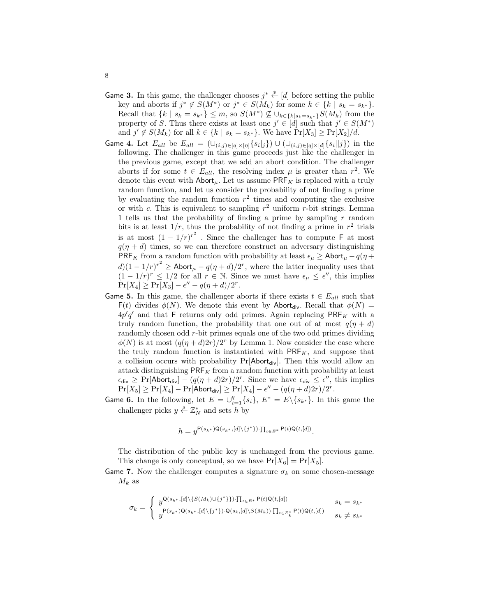- Game 3. In this game, the challenger chooses  $j^* \stackrel{\$}{\leftarrow} [d]$  before setting the public key and aborts if  $j^* \notin S(M^*)$  or  $j^* \in S(M_k)$  for some  $k \in \{k \mid s_k = s_{k^*}\}.$ Recall that  $\{k \mid s_k = s_{k^*}\}\leq m$ , so  $S(M^*) \not\subseteq \bigcup_{k\in\{k \mid s_k = s_{k^*}\}} S(M_k)$  from the property of S. Thus there exists at least one  $j' \in [d]$  such that  $j' \in S(M^*)$ and  $j' \notin S(M_k)$  for all  $k \in \{k \mid s_k = s_{k^*}\}.$  We have  $Pr[X_3] \geq Pr[X_2]/d$ .
- Game 4. Let  $E_{all}$  be  $E_{all} = (\cup_{(i,j) \in [q] \times [q]} \{s_i|_j\}) \cup (\cup_{(i,j) \in [q] \times [d]} \{s_i|_j\})$  in the following. The challenger in this game proceeds just like the challenger in the previous game, except that we add an abort condition. The challenger aborts if for some  $t \in E_{all}$ , the resolving index  $\mu$  is greater than  $r^2$ . We denote this event with  $\mathsf{Abort}_{\mu}$ . Let us assume  $\mathsf{PRF}_K$  is replaced with a truly random function, and let us consider the probability of not finding a prime by evaluating the random function  $r^2$  times and computing the exclusive or with c. This is equivalent to sampling  $r^2$  uniform r-bit strings. Lemma 1 tells us that the probability of finding a prime by sampling  $r$  random bits is at least  $1/r$ , thus the probability of not finding a prime in  $r^2$  trials is at most  $(1 - 1/r)^{r^2}$ . Since the challenger has to compute F at most  $q(\eta + d)$  times, so we can therefore construct an adversary distinguishing PRF<sub>K</sub> from a random function with probability at least  $\epsilon_{\mu} \geq$  Abort<sub> $\mu$ </sub> –  $q(\eta +$  $d(1-1/r)^{r^2} \geq \text{Abort}_\mu - q(\eta + d)/2^r$ , where the latter inequality uses that  $(1 - 1/r)^r \le 1/2$  for all  $r \in \mathbb{N}$ . Since we must have  $\epsilon_{\mu} \le \epsilon''$ , this implies  $Pr[X_4] \ge Pr[X_3] - \epsilon'' - q(\eta + d)/2^r.$
- Game 5. In this game, the challenger aborts if there exists  $t \in E_{all}$  such that  $F(t)$  divides  $\phi(N)$ . We denote this event by Abort<sub>div</sub>. Recall that  $\phi(N)$  =  $4p'q'$  and that F returns only odd primes. Again replacing  $\mathsf{PRF}_K$  with a truly random function, the probability that one out of at most  $q(\eta + d)$ randomly chosen odd r-bit primes equals one of the two odd primes dividing  $\phi(N)$  is at most  $\left(\frac{q(\eta + d)}{2r}\right) / 2^r$  by Lemma 1. Now consider the case where the truly random function is instantiated with  $PRF_K$ , and suppose that a collision occurs with probability  $Pr[$ Abort<sub>div</sub>]. Then this would allow an attack distinguishing  $\mathsf{PRF}_K$  from a random function with probability at least  $\epsilon_{\text{div}} \geq \Pr[\text{Abort}_{\text{div}}] - (q(\eta + d)2r)/2^r$ . Since we have  $\epsilon_{\text{div}} \leq \epsilon''$ , this implies  $\Pr[X_5] \ge \Pr[X_4] - \Pr[\mathsf{Abort}_{\mathsf{div}}] \ge \Pr[X_4] - \epsilon'' - (q(\eta + d)2r)/2^r.$
- Game 6. In the following, let  $E = \bigcup_{i=1}^{q} \{s_i\}, E^* = E\setminus \{s_{k^*}\}.$  In this game the challenger picks  $y \stackrel{\$}{\leftarrow} \mathbb{Z}_N^*$  and sets h by

$$
h = y^{\mathsf{P}(s_{k^*})\mathsf{Q}(s_{k^*}, [d]\backslash\{j^*\})\cdot\prod_{t\in E^*} \mathsf{P}(t)\mathsf{Q}(t, [d])}.
$$

The distribution of the public key is unchanged from the previous game. This change is only conceptual, so we have  $Pr[X_6] = Pr[X_5]$ .

Game 7. Now the challenger computes a signature  $\sigma_k$  on some chosen-message  $M_k$  as

$$
\sigma_k = \begin{cases} y^{\mathsf{Q}(s_{k^*},[d]\backslash\{S(M_k)\cup\{j^*\}\})\cdot\prod_{t\in E^*} \mathsf{P}(t)\mathsf{Q}(t,[d])} & s_k = s_{k^*} \\ y^{\mathsf{P}(s_{k^*})\mathsf{Q}(s_{k^*},[d]\backslash\{j^*\})\cdot\mathsf{Q}(s_k,[d]\backslash S(M_k))\cdot\prod_{t\in E_k^*} \mathsf{P}(t)\mathsf{Q}(t,[d])} & s_k \neq s_{k^*} \end{cases}
$$

8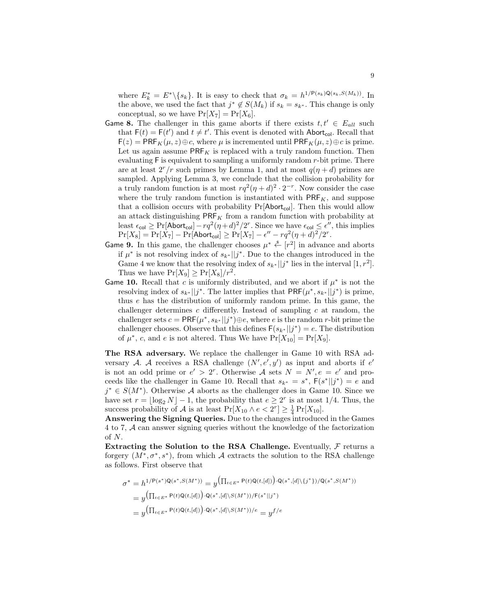where  $E_k^* = E^* \setminus \{s_k\}$ . It is easy to check that  $\sigma_k = h^{1/P(s_k)Q(s_k,S(M_k))}$ . In the above, we used the fact that  $j^* \notin S(M_k)$  if  $s_k = s_{k^*}$ . This change is only conceptual, so we have  $Pr[X_7] = Pr[X_6]$ .

- Game 8. The challenger in this game aborts if there exists  $t, t' \in E_{all}$  such that  $F(t) = F(t')$  and  $t \neq t'$ . This event is denoted with Abort<sub>col</sub>. Recall that  $F(z) = PRF<sub>K</sub>(\mu, z) \oplus c$ , where  $\mu$  is incremented until PRF<sub>K</sub>( $\mu, z$ ) $\oplus c$  is prime. Let us again assume  $\mathsf{PRF}_K$  is replaced with a truly random function. Then evaluating  $F$  is equivalent to sampling a uniformly random  $r$ -bit prime. There are at least  $2^r/r$  such primes by Lemma 1, and at most  $q(\eta + d)$  primes are sampled. Applying Lemma 3, we conclude that the collision probability for a truly random function is at most  $rq^2(\eta + d)^2 \cdot 2^{-r}$ . Now consider the case where the truly random function is instantiated with  $\mathsf{PRF}_K$ , and suppose that a collision occurs with probability  $Pr[$ Abort<sub>col</sub>. Then this would allow an attack distinguishing  $\mathsf{PRF}_K$  from a random function with probability at least  $\epsilon_{\text{col}} \geq \Pr[\text{Abort}_{\text{col}}] - rq^2(\eta + d)^2/2^r$ . Since we have  $\epsilon_{\text{col}} \leq \epsilon''$ , this implies  $\Pr[X_8] = \Pr[X_7] - \Pr[\mathsf{Abort}_\mathsf{col}] \ge \Pr[X_7] - \epsilon'' - r q^2 (\eta + d)^2 / 2^r.$
- Game 9. In this game, the challenger chooses  $\mu^* \stackrel{\$}{\leftarrow} [r^2]$  in advance and aborts if  $\mu^*$  is not resolving index of  $s_{k^*}||j^*$ . Due to the changes introduced in the Game 4 we know that the resolving index of  $s_{k^*}||j^*$  lies in the interval  $[1, r^2]$ . Thus we have  $Pr[X_9] \geq Pr[X_8]/r^2$ .
- Game 10. Recall that c is uniformly distributed, and we abort if  $\mu^*$  is not the resolving index of  $s_{k^*}||j^*$ . The latter implies that  $\mathsf{PRF}(\mu^*, s_{k^*}||j^*)$  is prime, thus e has the distribution of uniformly random prime. In this game, the challenger determines  $c$  differently. Instead of sampling  $c$  at random, the challenger sets  $c = \text{PRF}(\mu^*, s_{k^*} || j^*) \oplus e$ , where e is the random r-bit prime the challenger chooses. Observe that this defines  $F(s_{k^*}||j^*) = e$ . The distribution of  $\mu^*$ , c, and e is not altered. Thus We have  $Pr[X_{10}] = Pr[X_9]$ .

The RSA adversary. We replace the challenger in Game 10 with RSA adversary A. A receives a RSA challenge  $(N', e', y')$  as input and aborts if  $e'$ is not an odd prime or  $e' > 2^r$ . Otherwise A sets  $N = N', e = e'$  and proceeds like the challenger in Game 10. Recall that  $s_{k^*} = s^*$ ,  $\mathsf{F}(s^*||j^*) = e$  and  $j^* \in S(M^*)$ . Otherwise A aborts as the challenger does in Game 10. Since we have set  $r = \lfloor \log_2 N \rfloor - 1$ , the probability that  $e \geq 2^r$  is at most 1/4. Thus, the success probability of A is at least  $Pr[X_{10} \wedge e \langle 2^r] \geq \frac{1}{4} Pr[X_{10}]$ .

Answering the Signing Queries. Due to the changes introduced in the Games 4 to 7, A can answer signing queries without the knowledge of the factorization of  $N$ .

Extracting the Solution to the RSA Challenge. Eventually,  $\mathcal F$  returns a forgery  $(M^*, \sigma^*, s^*)$ , from which A extracts the solution to the RSA challenge as follows. First observe that

$$
\begin{aligned} \sigma^* &= h^{1/\mathsf{P}(s^*)\mathsf{Q}(s^*,S(M^*))} = y^{\left(\prod_{t\in E^*} \mathsf{P}(t)\mathsf{Q}(t,[d])\right)\cdot \mathsf{Q}(s^*,[d]\backslash\{j^*\})/\mathsf{Q}(s^*,S(M^*))}\\ &= y^{\left(\prod_{t\in E^*} \mathsf{P}(t)\mathsf{Q}(t,[d])\right)\cdot \mathsf{Q}(s^*,[d]\backslash S(M^*))/\mathsf{F}(s^*||j^*)}\\ &= y^{\left(\prod_{t\in E^*} \mathsf{P}(t)\mathsf{Q}(t,[d])\right)\cdot \mathsf{Q}(s^*,[d]\backslash S(M^*))/e} = y^{f/e} \end{aligned}
$$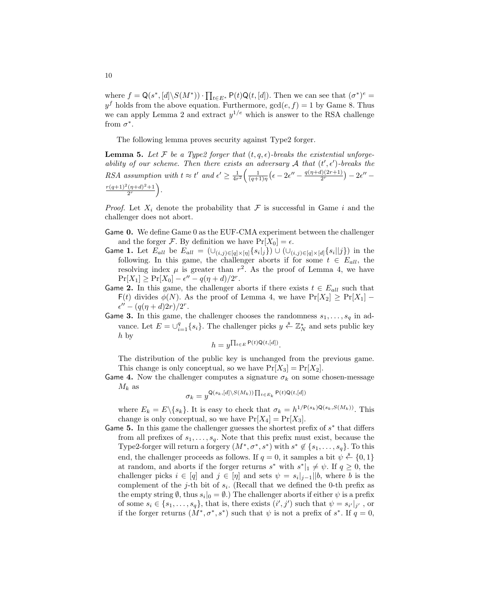where  $f = \mathsf{Q}(s^*, [d] \setminus S(M^*)) \cdot \prod_{t \in E^*} \mathsf{P}(t) \mathsf{Q}(t, [d])$ . Then we can see that  $(\sigma^*)^e =$  $y<sup>f</sup>$  holds from the above equation. Furthermore,  $gcd(e, f) = 1$  by Game 8. Thus we can apply Lemma 2 and extract  $y^{1/e}$  which is answer to the RSA challenge from  $\sigma^*$ .

The following lemma proves security against Type2 forger.

**Lemma 5.** Let F be a Type2 forger that  $(t, q, \epsilon)$ -breaks the existential unforgeability of our scheme. Then there exists an adversary A that  $(t', \epsilon')$ -breaks the RSA assumption with  $t \approx t'$  and  $\epsilon' \geq \frac{1}{4r^2} \left( \frac{1}{(q+1)\eta} \left( \epsilon - 2\epsilon'' - \frac{q(\eta+d)(2r+1)}{2r} \right) \right)$  $\frac{l(2r+1)}{2^r}$ ) —  $2\epsilon''$   $r(q+1)^2(\eta+d)^2+1$  $\frac{(\eta+d)^2+1}{2^r}$ .

*Proof.* Let  $X_i$  denote the probability that  $\mathcal F$  is successful in Game i and the challenger does not abort.

- Game 0. We define Game 0 as the EUF-CMA experiment between the challenger and the forger F. By definition we have  $Pr[X_0] = \epsilon$ .
- Game 1. Let  $E_{all}$  be  $E_{all} = (\cup_{(i,j) \in [q] \times [q]} \{s_i|_j\}) \cup (\cup_{(i,j) \in [q] \times [d]} \{s_i|_j\})$  in the following. In this game, the challenger aborts if for some  $t \in E_{all}$ , the resolving index  $\mu$  is greater than  $r^2$ . As the proof of Lemma 4, we have  $Pr[X_1] \ge Pr[X_0] - \epsilon'' - q(\eta + d)/2^r.$
- Game 2. In this game, the challenger aborts if there exists  $t \in E_{all}$  such that  $F(t)$  divides  $\phi(N)$ . As the proof of Lemma 4, we have  $Pr[X_2] \geq Pr[X_1]$  –  $\epsilon'' - (q(\eta + d)2r)/2^r.$
- Game 3. In this game, the challenger chooses the randomness  $s_1, \ldots, s_q$  in advance. Let  $E = \bigcup_{i=1}^q \{s_i\}$ . The challenger picks  $y \stackrel{\$}{\leftarrow} \mathbb{Z}_N^*$  and sets public key h by

$$
h = y^{\prod_{t \in E} P(t) Q(t, [d])}.
$$

The distribution of the public key is unchanged from the previous game. This change is only conceptual, so we have  $Pr[X_3] = Pr[X_2]$ .

Game 4. Now the challenger computes a signature  $\sigma_k$  on some chosen-message  $M_k$  as

$$
\sigma_k = y^{\mathsf{Q}(s_k,[d]\setminus S(M_k))} \prod_{t\in E_k} \mathsf{P}(t)\mathsf{Q}(t,[d])
$$

where  $E_k = E \setminus \{s_k\}$ . It is easy to check that  $\sigma_k = h^{1/P(s_k)Q(s_k,S(M_k))}$ . This change is only conceptual, so we have  $Pr[X_4] = Pr[X_3]$ .

Game 5. In this game the challenger guesses the shortest prefix of  $s^*$  that differs from all prefixes of  $s_1, \ldots, s_q$ . Note that this prefix must exist, because the Type2-forger will return a forgery  $(M^*, \sigma^*, s^*)$  with  $s^* \notin \{s_1, \ldots, s_q\}$ . To this end, the challenger proceeds as follows. If  $q = 0$ , it samples a bit  $\psi \stackrel{\$}{\leftarrow} \{0,1\}$ at random, and aborts if the forger returns  $s^*$  with  $s^*|_1 \neq \psi$ . If  $q \geq 0$ , the challenger picks  $i \in [q]$  and  $j \in [\eta]$  and sets  $\psi = s_i|_{j-1} ||b$ , where b is the complement of the j-th bit of  $s_i$ . (Recall that we defined the 0-th prefix as the empty string  $\emptyset$ , thus  $s_i|_0 = \emptyset$ .) The challenger aborts if either  $\psi$  is a prefix of some  $s_i \in \{s_1, \ldots, s_q\}$ , that is, there exists  $(i', j')$  such that  $\psi = s_{i'}|_{j'}$ , or if the forger returns  $(M^*, \sigma^*, s^*)$  such that  $\psi$  is not a prefix of  $s^*$ . If  $q = 0$ ,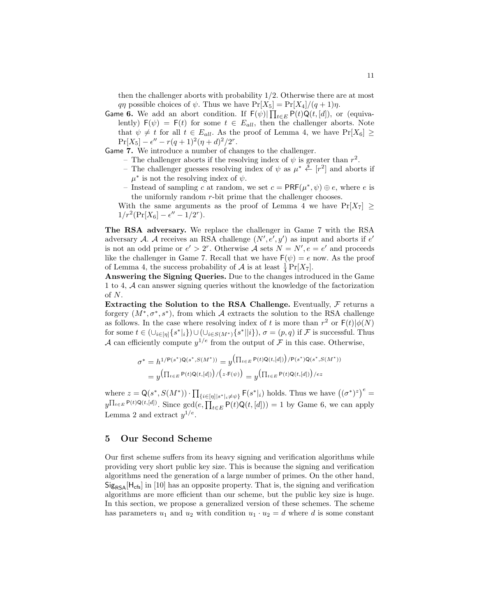then the challenger aborts with probability 1/2. Otherwise there are at most qη possible choices of  $\psi$ . Thus we have  $Pr[X_5] = Pr[X_4]/(q+1)\eta$ .

**Game 6.** We add an abort condition. If  $F(\psi)|\prod_{t\in E} P(t)Q(t,[d])$ , or (equivalently)  $F(\psi) = F(t)$  for some  $t \in E_{all}$ , then the challenger aborts. Note that  $\psi \neq t$  for all  $t \in E_{all}$ . As the proof of Lemma 4, we have  $Pr[X_6] \ge$  $Pr[X_5] - \epsilon'' - r(q+1)^2(\eta+d)^2/2^r.$ 

Game 7. We introduce a number of changes to the challenger.

- The challenger aborts if the resolving index of  $\psi$  is greater than  $r^2$ .
- The challenger guesses resolving index of  $\psi$  as  $\mu^* \stackrel{\$}{\leftarrow} [r^2]$  and aborts if  $\mu^*$  is not the resolving index of  $\psi$ .
- Instead of sampling c at random, we set  $c = PRF(\mu^*, \psi) \oplus e$ , where e is the uniformly random r-bit prime that the challenger chooses.
- With the same arguments as the proof of Lemma 4 we have  $Pr[X_7] \ge$  $1/r^2(\Pr[X_6] - \epsilon'' - 1/2^r).$

The RSA adversary. We replace the challenger in Game 7 with the RSA adversary A. A receives an RSA challenge  $(N', e', y')$  as input and aborts if  $e'$ is not an odd prime or  $e' > 2^r$ . Otherwise A sets  $N = N', e = e'$  and proceeds like the challenger in Game 7. Recall that we have  $F(\psi) = e$  now. As the proof of Lemma 4, the success probability of  $\mathcal A$  is at least  $\frac{1}{4} \Pr[X_7]$ .

Answering the Signing Queries. Due to the changes introduced in the Game 1 to 4, A can answer signing queries without the knowledge of the factorization of  $N$ .

Extracting the Solution to the RSA Challenge. Eventually,  $F$  returns a forgery  $(M^*, \sigma^*, s^*)$ , from which A extracts the solution to the RSA challenge as follows. In the case where resolving index of t is more than  $r^2$  or  $F(t)|\phi(N)$ for some  $t \in (\bigcup_{i \in [\eta]} \{s^*|_i\}) \cup (\bigcup_{i \in S(M^*)} \{s^*|_i\}), \sigma = (p, q)$  if F is successful. Thus A can efficiently compute  $y^{1/e}$  from the output of F in this case. Otherwise,

$$
\sigma^* = h^{1/\mathsf{P}(s^*)\mathsf{Q}(s^*, S(M^*))} = y^{\left(\prod_{t \in E} \mathsf{P}(t)\mathsf{Q}(t, [d])\right) / \mathsf{P}(s^*)\mathsf{Q}(s^*, S(M^*))}
$$

$$
= y^{\left(\prod_{t \in E} \mathsf{P}(t)\mathsf{Q}(t, [d])\right) / \left(z \cdot \mathsf{F}(\psi)\right)} = y^{\left(\prod_{t \in E} \mathsf{P}(t)\mathsf{Q}(t, [d])\right) / \epsilon z}
$$

where  $z = \mathsf{Q}(s^*, S(M^*)) \cdot \prod_{\{i \in [\eta] \mid s^* \mid i \neq \psi\}} \mathsf{F}(s^*|_i)$  holds. Thus we have  $((\sigma^*)^z)^e =$  $y^{\prod_{t\in E} P(t)Q(t,[d])}$ . Since  $gcd(e,\prod_{t\in E} P(t)Q(t,[d])) = 1$  by Game 6, we can apply Lemma 2 and extract  $y^{1/e}$ .

## 5 Our Second Scheme

Our first scheme suffers from its heavy signing and verification algorithms while providing very short public key size. This is because the signing and verification algorithms need the generation of a large number of primes. On the other hand,  $Sig_{RSA}[H_{cfs}]$  in [10] has an opposite property. That is, the signing and verification algorithms are more efficient than our scheme, but the public key size is huge. In this section, we propose a generalized version of these schemes. The scheme has parameters  $u_1$  and  $u_2$  with condition  $u_1 \cdot u_2 = d$  where d is some constant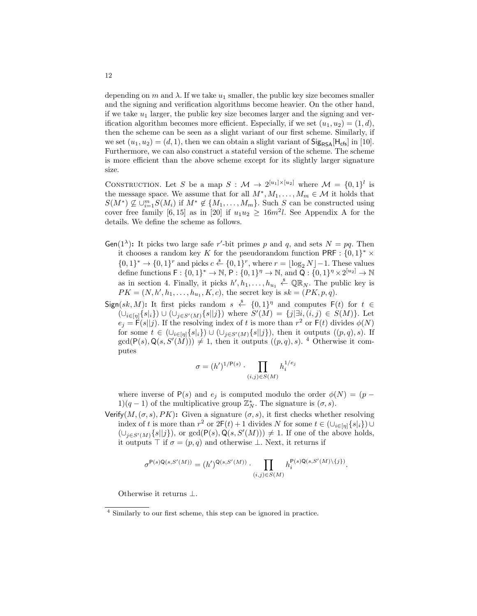depending on m and  $\lambda$ . If we take  $u_1$  smaller, the public key size becomes smaller and the signing and verification algorithms become heavier. On the other hand, if we take  $u_1$  larger, the public key size becomes larger and the signing and verification algorithm becomes more efficient. Especially, if we set  $(u_1, u_2) = (1, d)$ , then the scheme can be seen as a slight variant of our first scheme. Similarly, if we set  $(u_1, u_2) = (d, 1)$ , then we can obtain a slight variant of  $\text{Sig}_{\text{RSA}}[H_{\text{cfs}}]$  in [10]. Furthermore, we can also construct a stateful version of the scheme. The scheme is more efficient than the above scheme except for its slightly larger signature size.

CONSTRUCTION. Let S be a map  $S : \mathcal{M} \to 2^{[u_1] \times [u_2]}$  where  $\mathcal{M} = \{0,1\}^l$  is the message space. We assume that for all  $M^*, M_1, \ldots, M_m \in \mathcal{M}$  it holds that  $S(M^*)\nsubseteq \bigcup_{i=1}^m S(M_i)$  if  $M^*\notin \{M_1,\ldots,M_m\}$ . Such S can be constructed using cover free family [6,15] as in [20] if  $u_1u_2 \ge 16m^2l$ . See Appendix A for the details. We define the scheme as follows.

- Gen(1<sup> $\lambda$ </sup>): It picks two large safe r'-bit primes p and q, and sets  $N = pq$ . Then it chooses a random key K for the pseudorandom function PRF :  $\{0,1\}^*$  ×  $\{0,1\}^* \to \{0,1\}^r$  and picks  $c \stackrel{\$}{\leftarrow} \{0,1\}^r$ , where  $r = \lfloor \log_2 N \rfloor - 1$ . These values define functions  $\mathsf{F}: \{0,1\}^* \to \mathbb{N}, \mathsf{P}: \{0,1\}^{\eta} \to \mathbb{N}, \text{ and } \mathsf{Q}: \{0,1\}^{\eta} \times 2^{[u_2]} \to \mathbb{N}$ as in section 4. Finally, it picks  $h', h_1, \ldots, h_{u_1} \stackrel{\$}{\leftarrow} \mathbb{Q} \mathbb{R}_N$ . The public key is  $PK = (N, h', h_1, \ldots, h_{u_1}, K, c)$ , the secret key is  $sk = (PK, p, q)$ .
- Sign(sk, M): It first picks random  $s \stackrel{s}{\leftarrow} \{0,1\}^{\eta}$  and computes  $F(t)$  for  $t \in$  $(\cup_{i\in[\eta]}\{s|_i\})\cup(\cup_{j\in S'(M)}\{s||j\})$  where  $S'(M) = \{j|\exists i,(i,j)\in S(M)\}$ . Let  $e_j = \mathsf{F}(s||j)$ . If the resolving index of t is more than  $r^2$  or  $\mathsf{F}(t)$  divides  $\phi(N)$ for some  $t \in (\cup_{i\in[\eta]}\{s|_i\})\cup(\cup_{j\in S'(M)}\{s||j\}),$  then it outputs  $((p,q),s)$ . If  $gcd(P(s), Q(s, S'(\tilde{M}))) \neq 1$ , then it outputs  $((p,q), s)$ . <sup>4</sup> Otherwise it computes

$$
\sigma = (h')^{1/\mathsf{P}(s)} \cdot \prod_{(i,j) \in S(M)} h_i^{1/e_j}
$$

where inverse of P(s) and  $e_j$  is computed modulo the order  $\phi(N) = (p -$ 1)(*q* − 1) of the multiplicative group  $\mathbb{Z}_N^*$ . The signature is  $(σ, s)$ .

Verify $(M, (\sigma, s), PK)$ : Given a signature  $(\sigma, s)$ , it first checks whether resolving index of t is more than  $r^2$  or  $2\mathsf{F}(t) + 1$  divides N for some  $t \in (\cup_{i \in [\eta]} \{s|_i\}) \cup$  $(\cup_{j\in S'(M)}\{s||j\}),$  or  $gcd(P(s), Q(s, S'(M))) \neq 1$ . If one of the above holds, it outputs  $\top$  if  $\sigma = (p, q)$  and otherwise ⊥. Next, it returns if

$$
\sigma^{\mathsf{P}(s)\mathsf{Q}(s,S'(M))} = (h')^{\mathsf{Q}(s,S'(M))} \cdot \prod_{(i,j)\in S(M)} h_i^{\mathsf{P}(s)\mathsf{Q}(s,S'(M)\setminus\{j\})}.
$$

Otherwise it returns ⊥.

<sup>4</sup> Similarly to our first scheme, this step can be ignored in practice.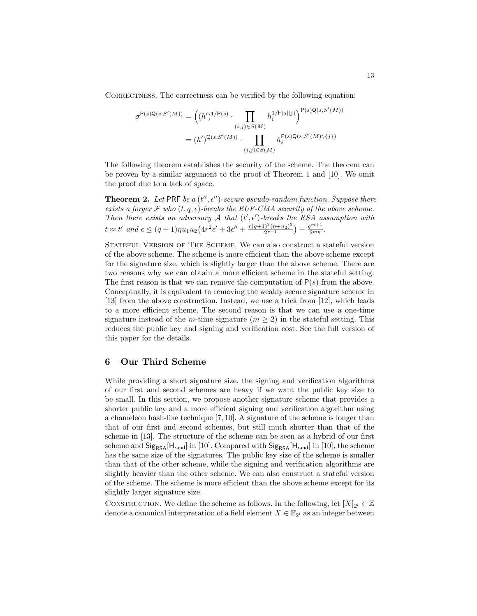CORRECTNESS. The correctness can be verified by the following equation:

$$
\sigma^{P(s)Q(s,S'(M))} = ((h')^{1/P(s)} \cdot \prod_{(i,j)\in S(M)} h_i^{1/F(s||j)}\Big)^{P(s)Q(s,S'(M))}
$$

$$
= (h')^{Q(s,S'(M))} \cdot \prod_{(i,j)\in S(M)} h_i^{P(s)Q(s,S'(M)\setminus\{j\})}
$$

The following theorem establishes the security of the scheme. The theorem can be proven by a similar argument to the proof of Theorem 1 and [10]. We omit the proof due to a lack of space.

**Theorem 2.** Let PRF be a  $(t'', \epsilon'')$ -secure pseudo-random function. Suppose there exists a forger  $\mathcal F$  who  $(t, q, \epsilon)$ -breaks the EUF-CMA security of the above scheme. Then there exists an adversary A that  $(t', \epsilon')$ -breaks the RSA assumption with  $t \approx t'$  and  $\epsilon \leq (q+1)\eta u_1 u_2 (4r^2\epsilon' + 3\epsilon'' + \frac{r(q+1)^2(\eta+u_2)^2}{2^{r-1}})$  $\frac{1}{2^{r-1}}^{2(\eta+u_2)^2}$  +  $\frac{q^{m+1}}{2^{m\eta}}$ .

STATEFUL VERSION OF THE SCHEME. We can also construct a stateful version of the above scheme. The scheme is more efficient than the above scheme except for the signature size, which is slightly larger than the above scheme. There are two reasons why we can obtain a more efficient scheme in the stateful setting. The first reason is that we can remove the computation of  $P(s)$  from the above. Conceptually, it is equivalent to removing the weakly secure signature scheme in [13] from the above construction. Instead, we use a trick from [12], which leads to a more efficient scheme. The second reason is that we can use a one-time signature instead of the *m*-time signature ( $m \geq 2$ ) in the stateful setting. This reduces the public key and signing and verification cost. See the full version of this paper for the details.

### 6 Our Third Scheme

While providing a short signature size, the signing and verification algorithms of our first and second schemes are heavy if we want the public key size to be small. In this section, we propose another signature scheme that provides a shorter public key and a more efficient signing and verification algorithm using a chameleon hash-like technique [7, 10]. A signature of the scheme is longer than that of our first and second schemes, but still much shorter than that of the scheme in [13]. The structure of the scheme can be seen as a hybrid of our first scheme and  $\text{Sig}_{\text{RSA}}[H_{\text{rand}}]$  in [10]. Compared with  $\text{Sig}_{\text{RSA}}[H_{\text{rand}}]$  in [10], the scheme has the same size of the signatures. The public key size of the scheme is smaller than that of the other scheme, while the signing and verification algorithms are slightly heavier than the other scheme. We can also construct a stateful version of the scheme. The scheme is more efficient than the above scheme except for its slightly larger signature size.

CONSTRUCTION. We define the scheme as follows. In the following, let  $[X]_{2^l} \in \mathbb{Z}$ denote a canonical interpretation of a field element  $X \in \mathbb{F}_{2^l}$  as an integer between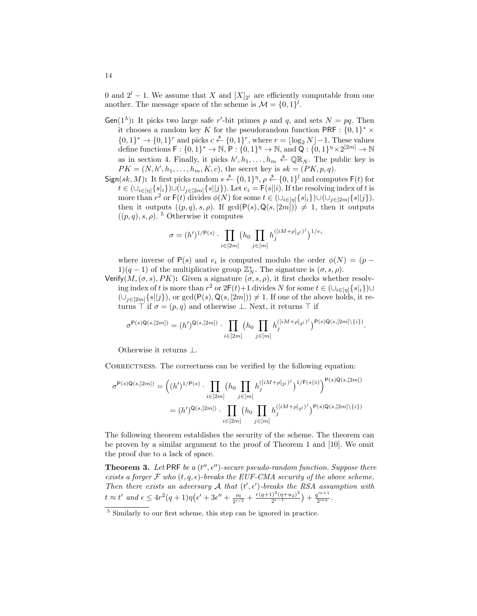0 and  $2^l - 1$ . We assume that X and  $[X]_{2^l}$  are efficiently computable from one another. The message space of the scheme is  $\mathcal{M} = \{0, 1\}^l$ .

- Gen(1<sup> $\lambda$ </sup>): It picks two large safe r'-bit primes p and q, and sets  $N = pq$ . Then it chooses a random key K for the pseudorandom function PRF :  $\{0,1\}^*$  ×  $\{0,1\}^* \to \{0,1\}^r$  and picks  $c \stackrel{\$}{\leftarrow} \{0,1\}^r$ , where  $r = \lfloor \log_2 N \rfloor - 1$ . These values define functions  $\mathsf{F}: \{0,1\}^* \to \mathbb{N}, \mathsf{P}: \{0,1\}^{\eta} \to \mathbb{N}, \text{ and } \mathsf{Q}: \{0,1\}^{\eta} \times 2^{[2m]} \to \mathbb{N}$ as in section 4. Finally, it picks  $h', h_1, \ldots, h_m \stackrel{s}{\leftarrow} \mathbb{QR}_N$ . The public key is  $PK = (N, h', h_1, \ldots, h_m, K, c)$ , the secret key is  $sk = (PK, p, q)$ .
- Sign(sk, M): It first picks random  $s \stackrel{s}{\leftarrow} \{0,1\}^{\eta}$ ,  $\rho \stackrel{s}{\leftarrow} \{0,1\}^l$  and computes  $\mathsf{F}(t)$  for  $t \in (\bigcup_{i \in [\eta]} \{s_i\}) \cup (\bigcup_{j \in [2m]} \{s | | j\})$ . Let  $e_i = F(s | | i)$ . If the resolving index of t is more than  $r^2$  or  $\mathsf{F}(t)$  divides  $\phi(N)$  for some  $t \in (\cup_{i \in [\eta]} \{s|_i\}) \cup (\cup_{j \in [2m]} \{s|_j\}),$ then it outputs  $((p,q), s, \rho)$ . If  $gcd(P(s), Q(s, [2m])) \neq 1$ , then it outputs  $((p, q), s, \rho)$ . <sup>5</sup> Otherwise it computes

$$
\sigma = (h')^{1/\mathsf{P}(s)} \cdot \prod_{i \in [2m]} \left( h_0 \prod_{j \in [m]} h_j^{([iM+\rho]_{2^l})^j} \right)^{1/e_i}
$$

where inverse of  $P(s)$  and  $e_i$  is computed modulo the order  $\phi(N) = (p -$ 1)(*q* − 1) of the multiplicative group  $\mathbb{Z}_N^*$ . The signature is  $(σ, s, ρ)$ .

Verify $(M, (\sigma, s), PK)$ : Given a signature  $(\sigma, s, \rho)$ , it first checks whether resolving index of t is more than  $r^2$  or  $2\mathsf{F}(t)+1$  divides N for some  $t \in (\cup_{i\in[\eta]}\{s|_i\})\cup$  $(\bigcup_{i\in [2m]}\{s||j\}),$  or  $gcd(P(s), Q(s, [2m])) \neq 1$ . If one of the above holds, it returns  $\top$  if  $\sigma = (p, q)$  and otherwise  $\bot$ . Next, it returns  $\top$  if

$$
\sigma^{\mathsf{P}(s)\mathsf{Q}(s,[2m])} = (h')^{\mathsf{Q}(s,[2m])} \cdot \prod_{i \in [2m]} \left( h_0 \prod_{j \in [m]} h_j^{([iM+\rho]_{2^l})^j} \right)^{\mathsf{P}(s)\mathsf{Q}(s,[2m]\setminus \{i\})}.
$$

Otherwise it returns ⊥.

CORRECTNESS. The correctness can be verified by the following equation:

$$
\sigma^{P(s)Q(s,[2m])} = ((h')^{1/P(s)} \cdot \prod_{i \in [2m]} (h_0 \prod_{j \in [m]} h_j^{([iM+\rho]_{2^l})^j})^{1/F(s||i)} \Big)^{P(s)Q(s,[2m])}
$$

$$
= (h')^{Q(s,[2m])} \cdot \prod_{i \in [2m]} (h_0 \prod_{j \in [m]} h_j^{([iM+\rho]_{2^l})^j})^{P(s)Q(s,[2m]\setminus \{i\})}
$$

The following theorem establishes the security of the scheme. The theorem can be proven by a similar argument to the proof of Theorem 1 and [10]. We omit the proof due to a lack of space.

**Theorem 3.** Let PRF be a  $(t'', \epsilon'')$ -secure pseudo-random function. Suppose there exists a forger  $\mathcal F$  who  $(t, q, \epsilon)$ -breaks the EUF-CMA security of the above scheme. Then there exists an adversary A that  $(t', \epsilon')$ -breaks the RSA assumption with  $t \approx t'$  and  $\epsilon \leq 4r^2(q+1)\eta(\epsilon' + 3\epsilon'' + \frac{m}{2r/2} + \frac{r(q+1)^2(\eta+u_2)^2}{2r-1})$  $\frac{1}{2^{r-1}}^{2(\eta+u_2)^2}$  +  $\frac{q^{m+1}}{2^{m\eta}}$ .

<sup>5</sup> Similarly to our first scheme, this step can be ignored in practice.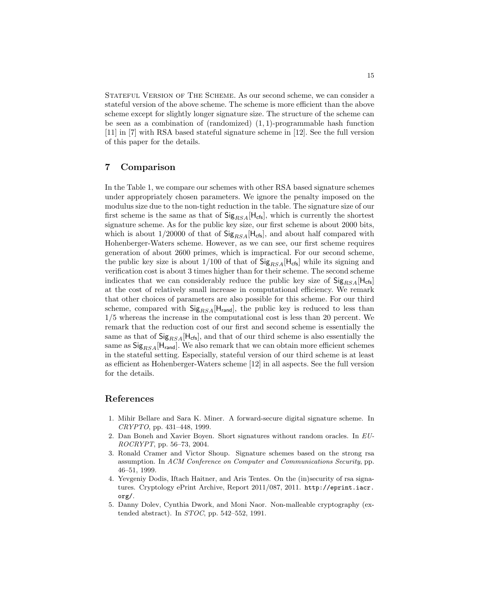Stateful Version of The Scheme. As our second scheme, we can consider a stateful version of the above scheme. The scheme is more efficient than the above scheme except for slightly longer signature size. The structure of the scheme can be seen as a combination of (randomized)  $(1, 1)$ -programmable hash function [11] in [7] with RSA based stateful signature scheme in [12]. See the full version of this paper for the details.

# 7 Comparison

In the Table 1, we compare our schemes with other RSA based signature schemes under appropriately chosen parameters. We ignore the penalty imposed on the modulus size due to the non-tight reduction in the table. The signature size of our first scheme is the same as that of  $\text{Sig}_{RSA}[\text{H}_{cts}]$ , which is currently the shortest signature scheme. As for the public key size, our first scheme is about 2000 bits, which is about  $1/20000$  of that of  $\text{Sig}_{RSA}[\text{H}_{\text{cfs}}]$ , and about half compared with Hohenberger-Waters scheme. However, as we can see, our first scheme requires generation of about 2600 primes, which is impractical. For our second scheme, the public key size is about  $1/100$  of that of  $\text{Sig}_{BSA}[\text{H}_{\text{cfs}}]$  while its signing and verification cost is about 3 times higher than for their scheme. The second scheme indicates that we can considerably reduce the public key size of  $\text{Sig}_{BSA}[\text{H}_{\text{cfs}}]$ at the cost of relatively small increase in computational efficiency. We remark that other choices of parameters are also possible for this scheme. For our third scheme, compared with  $\text{Sig}_{RSA}[\mathsf{H}_{\text{rand}}]$ , the public key is reduced to less than 1/5 whereas the increase in the computational cost is less than 20 percent. We remark that the reduction cost of our first and second scheme is essentially the same as that of  $\text{Sig}_{RSA}[\text{H}_{\text{cts}}]$ , and that of our third scheme is also essentially the same as  $\text{Sig}_{RSA}$ [H<sub>rand</sub>]. We also remark that we can obtain more efficient schemes in the stateful setting. Especially, stateful version of our third scheme is at least as efficient as Hohenberger-Waters scheme [12] in all aspects. See the full version for the details.

# References

- 1. Mihir Bellare and Sara K. Miner. A forward-secure digital signature scheme. In CRYPTO, pp. 431–448, 1999.
- 2. Dan Boneh and Xavier Boyen. Short signatures without random oracles. In EU-ROCRYPT, pp. 56–73, 2004.
- 3. Ronald Cramer and Victor Shoup. Signature schemes based on the strong rsa assumption. In ACM Conference on Computer and Communications Security, pp. 46–51, 1999.
- 4. Yevgeniy Dodis, Iftach Haitner, and Aris Tentes. On the (in)security of rsa signatures. Cryptology ePrint Archive, Report 2011/087, 2011. http://eprint.iacr. org/.
- 5. Danny Dolev, Cynthia Dwork, and Moni Naor. Non-malleable cryptography (extended abstract). In STOC, pp. 542–552, 1991.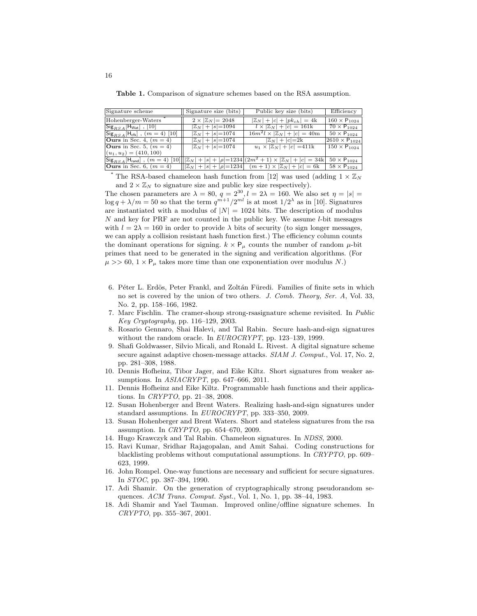Table 1. Comparison of signature schemes based on the RSA assumption.

| Signature scheme                                                                      | Signature size (bits)            | Public key size (bits)                                                                                                                             | Efficiency               |
|---------------------------------------------------------------------------------------|----------------------------------|----------------------------------------------------------------------------------------------------------------------------------------------------|--------------------------|
| Hohenberger-Waters                                                                    | $2 \times  \mathbb{Z}_N  = 2048$ | $ \mathbb{Z}_N  +  c  +  pk_{ch}  = 4k$                                                                                                            | $160 \times P_{1024}$    |
| $\left[\mathsf{Sig}_{BSA}\right[\mathsf{H}_{\mathsf{Wat}}\right]$ , $\left[10\right]$ | $ \mathbb{Z}_N  +  s  = 1094$    | $l \times  \mathbb{Z}_N  +  c  = 161k$                                                                                                             | $70 \times P_{1024}$     |
| $[\text{Sig}_{RSA}[\text{H}_{\text{cfs}}]$ , $(m = 4)$ [10]                           | $ \mathbb{Z}_N  +  s  = 1074$    | $16m^2l \times  \mathbb{Z}_N  +  c  = 40m$                                                                                                         | $50 \times P_{1024}$     |
| <b>Ours</b> in Sec. 4, $(m = 4)$                                                      | $ \mathbb{Z}_N  +  s  = 1074$    | $ \mathbb{Z}_N + c =2k$                                                                                                                            | $ 2610 \times P_{1024} $ |
| <b>Ours</b> in Sec. 5, $(m = 4)$                                                      | $ \mathbb{Z}_N  +  s  = 1074$    | $u_1 \times  \mathbb{Z}_N  +  c  = 411k$                                                                                                           | $150 \times P_{1024}$    |
| $(u_1, u_2) = (410, 100)$                                                             |                                  |                                                                                                                                                    |                          |
|                                                                                       |                                  | $ \text{Sig}_{RSA}[\text{H}_{\text{rand}}]$ , $(m = 4)$ [10] $  \mathbb{Z}_N  +  s  +  \rho  = 1234 (2m^2 + 1) \times  \mathbb{Z}_N  +  c  = 34k $ | $50 \times P_{1024}$     |
| <b>Ours</b> in Sec. 6, $(m = 4)$                                                      |                                  | $    \mathbb{Z}_N   +  s  +  \rho  = 1234$ $(m+1) \times  \mathbb{Z}_N   +  c  = 6k$                                                               | $58 \times P_{1024}$     |

 $^*$  The RSA-based chameleon hash function from [12] was used (adding  $1\times \mathbb{Z}_N$ and  $2 \times \mathbb{Z}_N$  to signature size and public key size respectively).

The chosen parameters are  $\lambda = 80$ ,  $q = 2^{30}$ ,  $l = 2\lambda = 160$ . We also set  $\eta = |s|$  $\log q + \lambda/m = 50$  so that the term  $q^{m+1}/2^{ml}$  is at most  $1/2^{\lambda}$  as in [10]. Signatures are instantiated with a modulus of  $|N| = 1024$  bits. The description of modulus  $N$  and key for PRF are not counted in the public key. We assume *l*-bit messages with  $l = 2\lambda = 160$  in order to provide  $\lambda$  bits of security (to sign longer messages, we can apply a collision resistant hash function first.) The efficiency column counts the dominant operations for signing.  $k \times P_\mu$  counts the number of random  $\mu$ -bit primes that need to be generated in the signing and verification algorithms. (For  $\mu >> 60$ ,  $1 \times P_{\mu}$  takes more time than one exponentiation over modulus N.)

- 6. Péter L. Erdös, Peter Frankl, and Zoltán Füredi. Families of finite sets in which no set is covered by the union of two others. J. Comb. Theory, Ser. A, Vol. 33, No. 2, pp. 158–166, 1982.
- 7. Marc Fischlin. The cramer-shoup strong-rsasignature scheme revisited. In Public Key Cryptography, pp. 116–129, 2003.
- 8. Rosario Gennaro, Shai Halevi, and Tal Rabin. Secure hash-and-sign signatures without the random oracle. In  $EUROCRYPT$ , pp. 123-139, 1999.
- 9. Shafi Goldwasser, Silvio Micali, and Ronald L. Rivest. A digital signature scheme secure against adaptive chosen-message attacks. SIAM J. Comput., Vol. 17, No. 2, pp. 281–308, 1988.
- 10. Dennis Hofheinz, Tibor Jager, and Eike Kiltz. Short signatures from weaker assumptions. In ASIACRYPT, pp. 647–666, 2011.
- 11. Dennis Hofheinz and Eike Kiltz. Programmable hash functions and their applications. In CRYPTO, pp. 21–38, 2008.
- 12. Susan Hohenberger and Brent Waters. Realizing hash-and-sign signatures under standard assumptions. In EUROCRYPT, pp. 333–350, 2009.
- 13. Susan Hohenberger and Brent Waters. Short and stateless signatures from the rsa assumption. In CRYPTO, pp. 654–670, 2009.
- 14. Hugo Krawczyk and Tal Rabin. Chameleon signatures. In NDSS, 2000.
- 15. Ravi Kumar, Sridhar Rajagopalan, and Amit Sahai. Coding constructions for blacklisting problems without computational assumptions. In CRYPTO, pp. 609– 623, 1999.
- 16. John Rompel. One-way functions are necessary and sufficient for secure signatures. In STOC, pp. 387–394, 1990.
- 17. Adi Shamir. On the generation of cryptographically strong pseudorandom sequences. ACM Trans. Comput. Syst., Vol. 1, No. 1, pp. 38–44, 1983.
- 18. Adi Shamir and Yael Tauman. Improved online/offline signature schemes. In CRYPTO, pp. 355–367, 2001.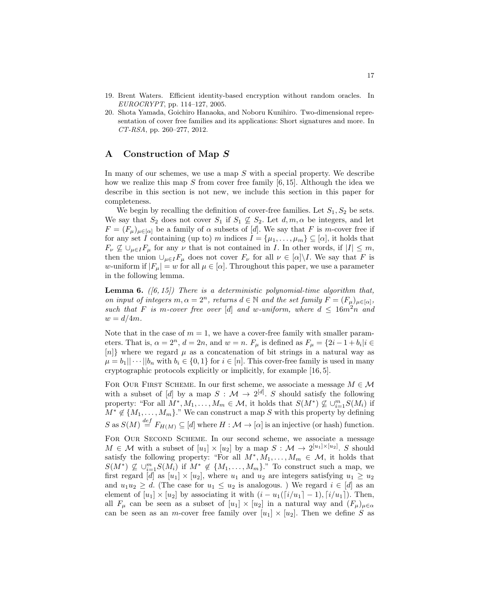- 19. Brent Waters. Efficient identity-based encryption without random oracles. In EUROCRYPT, pp. 114–127, 2005.
- 20. Shota Yamada, Goichiro Hanaoka, and Noboru Kunihiro. Two-dimensional representation of cover free families and its applications: Short signatures and more. In CT-RSA, pp. 260–277, 2012.

# A Construction of Map S

In many of our schemes, we use a map S with a special property. We describe how we realize this map S from cover free family  $[6, 15]$ . Although the idea we describe in this section is not new, we include this section in this paper for completeness.

We begin by recalling the definition of cover-free families. Let  $S_1, S_2$  be sets. We say that  $S_2$  does not cover  $S_1$  if  $S_1 \not\subseteq S_2$ . Let  $d, m, \alpha$  be integers, and let  $F = (F_\mu)_{\mu \in [\alpha]}$  be a family of  $\alpha$  subsets of [d]. We say that F is m-cover free if for any set I containing (up to) m indices  $I = {\mu_1, \ldots, \mu_m} \subseteq [\alpha]$ , it holds that  $F_{\nu} \nsubseteq \bigcup_{\mu \in I} F_{\mu}$  for any  $\nu$  that is not contained in *I*. In other words, if  $|I| \leq m$ , then the union  $\bigcup_{\mu \in I} F_{\mu}$  does not cover  $F_{\nu}$  for all  $\nu \in [\alpha] \backslash I$ . We say that F is w-uniform if  $|F_\mu| = w$  for all  $\mu \in [\alpha]$ . Throughout this paper, we use a parameter in the following lemma.

**Lemma 6.** ( $[6, 15]$ ) There is a deterministic polynomial-time algorithm that, on input of integers  $m, \alpha = 2^n$ , returns  $d \in \mathbb{N}$  and the set family  $F = (F_\mu)_{\mu \in [\alpha]}$ , such that F is m-cover free over [d] and w-uniform, where  $d \leq 16m^2n$  and  $w = d/4m$ .

Note that in the case of  $m = 1$ , we have a cover-free family with smaller parameters. That is,  $\alpha = 2^n$ ,  $d = 2n$ , and  $w = n$ .  $F_{\mu}$  is defined as  $F_{\mu} = \{2i - 1 + b_i | i \in$ [n]} where we regard  $\mu$  as a concatenation of bit strings in a natural way as  $\mu = b_1 || \cdots || b_n$  with  $b_i \in \{0, 1\}$  for  $i \in [n]$ . This cover-free family is used in many cryptographic protocols explicitly or implicitly, for example [16, 5].

FOR OUR FIRST SCHEME. In our first scheme, we associate a message  $M \in \mathcal{M}$ with a subset of [d] by a map  $S : \mathcal{M} \to 2^{[d]}$ . S should satisfy the following property: "For all  $M^*, M_1, \ldots, M_m \in \mathcal{M}$ , it holds that  $S(M^*) \nsubseteq \bigcup_{i=1}^m S(M_i)$  if  $M^* \notin \{M_1, \ldots, M_m\}$ ." We can construct a map S with this property by defining  $S$  as  $S(M) \stackrel{def}{=} F_{H(M)} \subseteq [d]$  where  $H : \mathcal{M} \to [\alpha]$  is an injective (or hash) function.

FOR OUR SECOND SCHEME. In our second scheme, we associate a message  $M \in \mathcal{M}$  with a subset of  $[u_1] \times [u_2]$  by a map  $S : \mathcal{M} \to 2^{[u_1] \times [u_2]}$ . S should satisfy the following property: "For all  $M^*, M_1, \ldots, M_m \in \mathcal{M}$ , it holds that  $S(M^*)\nsubseteq \cup_{i=1}^m S(M_i)$  if  $M^*\notin \{M_1,\ldots,M_m\}$ ." To construct such a map, we first regard [d] as  $[u_1] \times [u_2]$ , where  $u_1$  and  $u_2$  are integers satisfying  $u_1 \geq u_2$ and  $u_1u_2 \geq d$ . (The case for  $u_1 \leq u_2$  is analogous.) We regard  $i \in [d]$  as an element of  $[u_1] \times [u_2]$  by associating it with  $(i - u_1([i/u_1] - 1), [i/u_1])$ . Then, all  $F_\mu$  can be seen as a subset of  $[u_1] \times [u_2]$  in a natural way and  $(F_\mu)_{\mu \in \alpha}$ can be seen as an *m*-cover free family over  $[u_1] \times [u_2]$ . Then we define S as